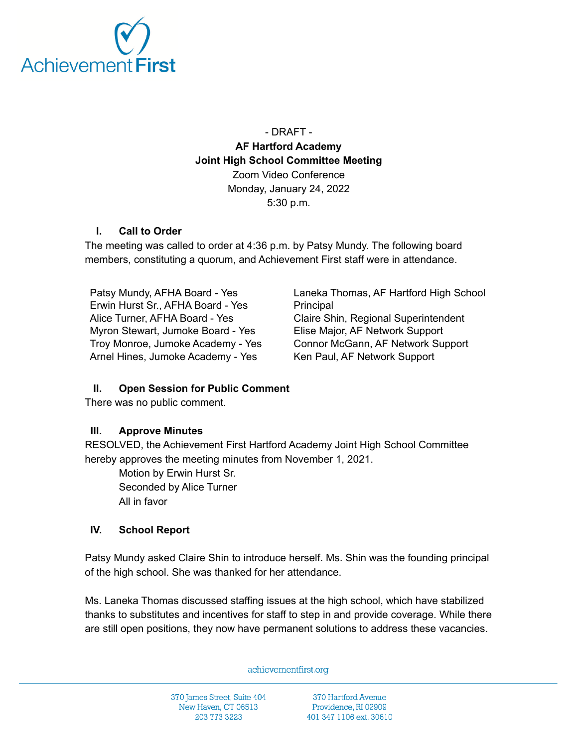

- DRAFT - **AF Hartford Academy Joint High School Committee Meeting** Zoom Video Conference Monday, January 24, 2022 5:30 p.m.

# **I. Call to Order**

The meeting was called to order at 4:36 p.m. by Patsy Mundy. The following board members, constituting a quorum, and Achievement First staff were in attendance.

Patsy Mundy, AFHA Board - Yes Erwin Hurst Sr., AFHA Board - Yes Alice Turner, AFHA Board - Yes Myron Stewart, Jumoke Board - Yes Troy Monroe, Jumoke Academy - Yes Arnel Hines, Jumoke Academy - Yes

Laneka Thomas, AF Hartford High School Principal Claire Shin, Regional Superintendent Elise Major, AF Network Support Connor McGann, AF Network Support Ken Paul, AF Network Support

#### **II. Open Session for Public Comment**

There was no public comment.

#### **III. Approve Minutes**

RESOLVED, the Achievement First Hartford Academy Joint High School Committee hereby approves the meeting minutes from November 1, 2021.

Motion by Erwin Hurst Sr. Seconded by Alice Turner All in favor

#### **IV. School Report**

Patsy Mundy asked Claire Shin to introduce herself. Ms. Shin was the founding principal of the high school. She was thanked for her attendance.

Ms. Laneka Thomas discussed staffing issues at the high school, which have stabilized thanks to substitutes and incentives for staff to step in and provide coverage. While there are still open positions, they now have permanent solutions to address these vacancies.

achievementfirst.org

370 James Street, Suite 404 New Haven, CT 06513 203 773 3223

370 Hartford Avenue Providence, RI 02909 401 347 1106 ext. 30610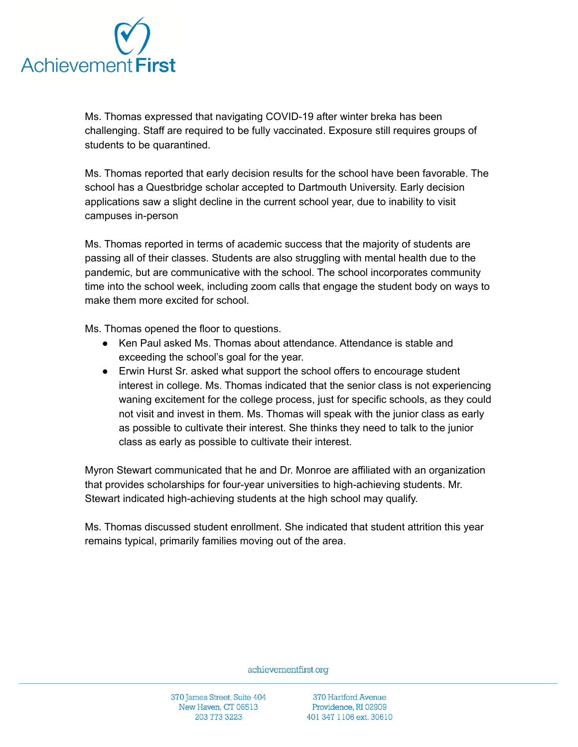

Ms. Thomas expressed that navigating COVID-19 after winter breka has been challenging. Staff are required to be fully vaccinated. Exposure still requires groups of students to be quarantined.

Ms. Thomas reported that early decision results for the school have been favorable. The school has a Questbridge scholar accepted to Dartmouth University. Early decision applications saw a slight decline in the current school year, due to inability to visit campuses in-person

Ms. Thomas reported in terms of academic success that the majority of students are passing all of their classes. Students are also struggling with mental health due to the pandemic, but are communicative with the school. The school incorporates community time into the school week, including zoom calls that engage the student body on ways to make them more excited for school.

Ms. Thomas opened the floor to questions.

- Ken Paul asked Ms. Thomas about attendance. Attendance is stable and exceeding the school's goal for the year.
- Erwin Hurst Sr. asked what support the school offers to encourage student interest in college. Ms. Thomas indicated that the senior class is not experiencing waning excitement for the college process, just for specific schools, as they could not visit and invest in them. Ms. Thomas will speak with the junior class as early as possible to cultivate their interest. She thinks they need to talk to the junior class as early as possible to cultivate their interest.

Myron Stewart communicated that he and Dr. Monroe are affiliated with an organization that provides scholarships for four-year universities to high-achieving students. Mr. Stewart indicated high-achieving students at the high school may qualify.

Ms. Thomas discussed student enrollment. She indicated that student attrition this year remains typical, primarily families moving out of the area.

achievementfirst.org